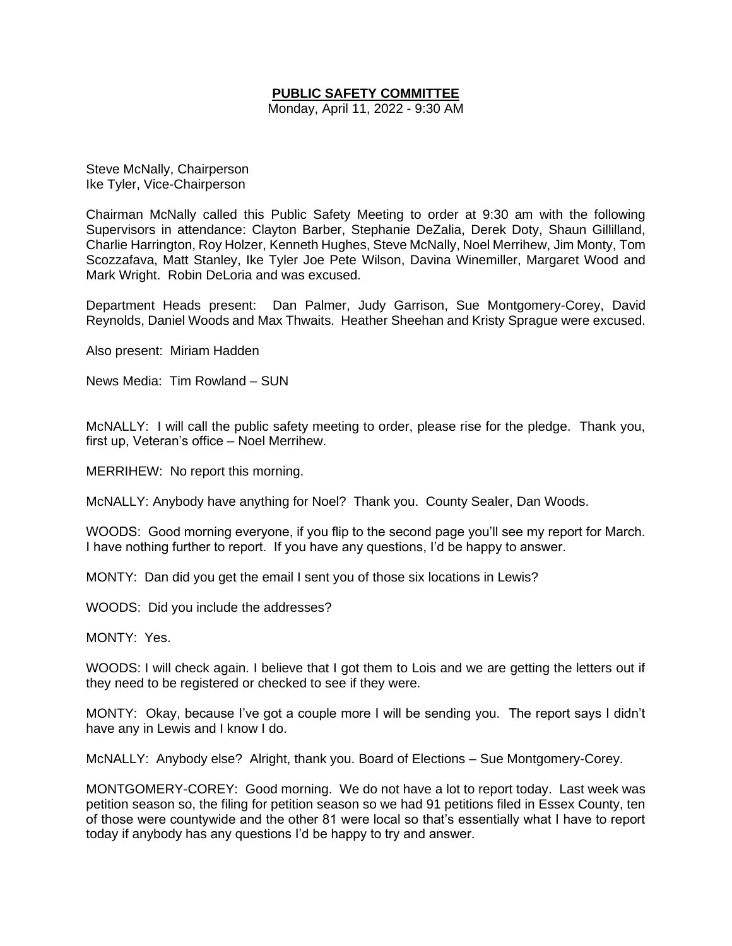# **PUBLIC SAFETY COMMITTEE**

Monday, April 11, 2022 - 9:30 AM

Steve McNally, Chairperson Ike Tyler, Vice-Chairperson

Chairman McNally called this Public Safety Meeting to order at 9:30 am with the following Supervisors in attendance: Clayton Barber, Stephanie DeZalia, Derek Doty, Shaun Gillilland, Charlie Harrington, Roy Holzer, Kenneth Hughes, Steve McNally, Noel Merrihew, Jim Monty, Tom Scozzafava, Matt Stanley, Ike Tyler Joe Pete Wilson, Davina Winemiller, Margaret Wood and Mark Wright. Robin DeLoria and was excused.

Department Heads present: Dan Palmer, Judy Garrison, Sue Montgomery-Corey, David Reynolds, Daniel Woods and Max Thwaits. Heather Sheehan and Kristy Sprague were excused.

Also present: Miriam Hadden

News Media: Tim Rowland – SUN

McNALLY: I will call the public safety meeting to order, please rise for the pledge. Thank you, first up, Veteran's office – Noel Merrihew.

MERRIHEW: No report this morning.

McNALLY: Anybody have anything for Noel? Thank you. County Sealer, Dan Woods.

WOODS: Good morning everyone, if you flip to the second page you'll see my report for March. I have nothing further to report. If you have any questions, I'd be happy to answer.

MONTY: Dan did you get the email I sent you of those six locations in Lewis?

WOODS: Did you include the addresses?

MONTY: Yes.

WOODS: I will check again. I believe that I got them to Lois and we are getting the letters out if they need to be registered or checked to see if they were.

MONTY: Okay, because I've got a couple more I will be sending you. The report says I didn't have any in Lewis and I know I do.

McNALLY: Anybody else? Alright, thank you. Board of Elections – Sue Montgomery-Corey.

MONTGOMERY-COREY: Good morning. We do not have a lot to report today. Last week was petition season so, the filing for petition season so we had 91 petitions filed in Essex County, ten of those were countywide and the other 81 were local so that's essentially what I have to report today if anybody has any questions I'd be happy to try and answer.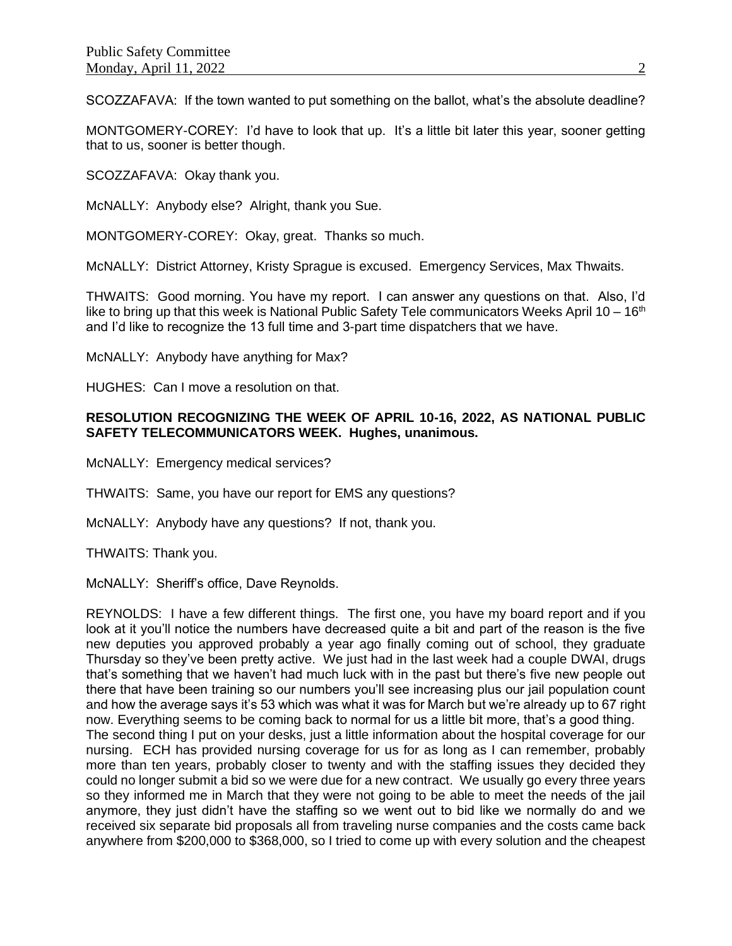SCOZZAFAVA: If the town wanted to put something on the ballot, what's the absolute deadline?

MONTGOMERY-COREY: I'd have to look that up. It's a little bit later this year, sooner getting that to us, sooner is better though.

SCOZZAFAVA: Okay thank you.

McNALLY: Anybody else? Alright, thank you Sue.

MONTGOMERY-COREY: Okay, great. Thanks so much.

McNALLY: District Attorney, Kristy Sprague is excused. Emergency Services, Max Thwaits.

THWAITS: Good morning. You have my report. I can answer any questions on that. Also, I'd like to bring up that this week is National Public Safety Tele communicators Weeks April 10 – 16<sup>th</sup> and I'd like to recognize the 13 full time and 3-part time dispatchers that we have.

McNALLY: Anybody have anything for Max?

HUGHES: Can I move a resolution on that.

## **RESOLUTION RECOGNIZING THE WEEK OF APRIL 10-16, 2022, AS NATIONAL PUBLIC SAFETY TELECOMMUNICATORS WEEK. Hughes, unanimous.**

McNALLY: Emergency medical services?

THWAITS: Same, you have our report for EMS any questions?

McNALLY: Anybody have any questions? If not, thank you.

THWAITS: Thank you.

McNALLY: Sheriff's office, Dave Reynolds.

REYNOLDS: I have a few different things. The first one, you have my board report and if you look at it you'll notice the numbers have decreased quite a bit and part of the reason is the five new deputies you approved probably a year ago finally coming out of school, they graduate Thursday so they've been pretty active. We just had in the last week had a couple DWAI, drugs that's something that we haven't had much luck with in the past but there's five new people out there that have been training so our numbers you'll see increasing plus our jail population count and how the average says it's 53 which was what it was for March but we're already up to 67 right now. Everything seems to be coming back to normal for us a little bit more, that's a good thing. The second thing I put on your desks, just a little information about the hospital coverage for our nursing. ECH has provided nursing coverage for us for as long as I can remember, probably more than ten years, probably closer to twenty and with the staffing issues they decided they could no longer submit a bid so we were due for a new contract. We usually go every three years so they informed me in March that they were not going to be able to meet the needs of the jail anymore, they just didn't have the staffing so we went out to bid like we normally do and we received six separate bid proposals all from traveling nurse companies and the costs came back anywhere from \$200,000 to \$368,000, so I tried to come up with every solution and the cheapest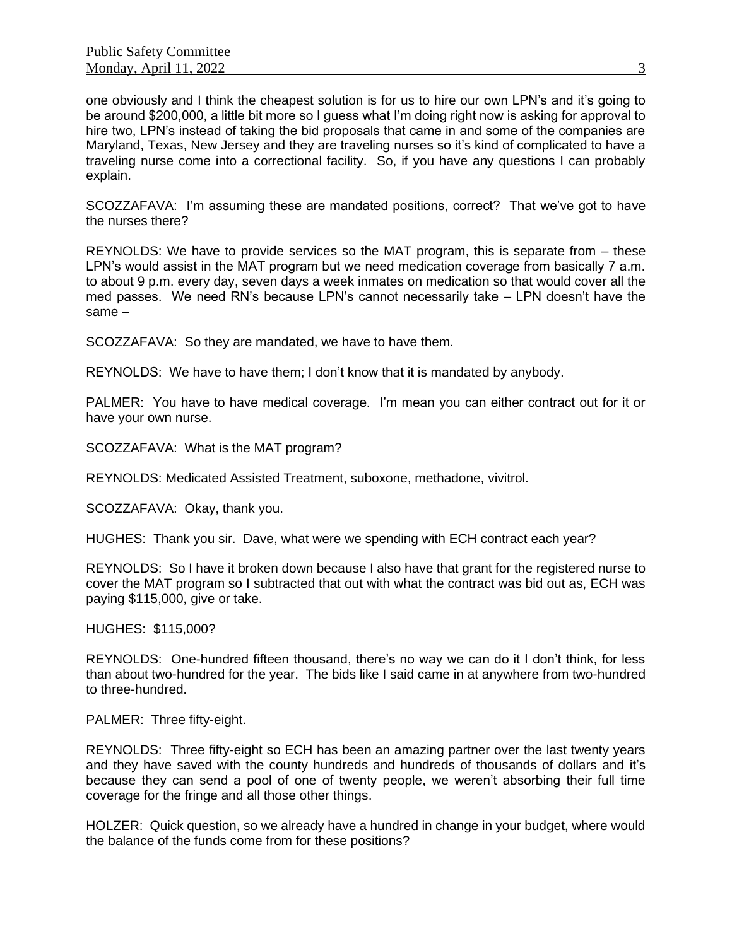one obviously and I think the cheapest solution is for us to hire our own LPN's and it's going to be around \$200,000, a little bit more so I guess what I'm doing right now is asking for approval to hire two, LPN's instead of taking the bid proposals that came in and some of the companies are Maryland, Texas, New Jersey and they are traveling nurses so it's kind of complicated to have a traveling nurse come into a correctional facility. So, if you have any questions I can probably explain.

SCOZZAFAVA: I'm assuming these are mandated positions, correct? That we've got to have the nurses there?

REYNOLDS: We have to provide services so the MAT program, this is separate from – these LPN's would assist in the MAT program but we need medication coverage from basically 7 a.m. to about 9 p.m. every day, seven days a week inmates on medication so that would cover all the med passes. We need RN's because LPN's cannot necessarily take – LPN doesn't have the same –

SCOZZAFAVA: So they are mandated, we have to have them.

REYNOLDS: We have to have them; I don't know that it is mandated by anybody.

PALMER: You have to have medical coverage. I'm mean you can either contract out for it or have your own nurse.

SCOZZAFAVA: What is the MAT program?

REYNOLDS: Medicated Assisted Treatment, suboxone, methadone, vivitrol.

SCOZZAFAVA: Okay, thank you.

HUGHES: Thank you sir. Dave, what were we spending with ECH contract each year?

REYNOLDS: So I have it broken down because I also have that grant for the registered nurse to cover the MAT program so I subtracted that out with what the contract was bid out as, ECH was paying \$115,000, give or take.

HUGHES: \$115,000?

REYNOLDS: One-hundred fifteen thousand, there's no way we can do it I don't think, for less than about two-hundred for the year. The bids like I said came in at anywhere from two-hundred to three-hundred.

PALMER: Three fifty-eight.

REYNOLDS: Three fifty-eight so ECH has been an amazing partner over the last twenty years and they have saved with the county hundreds and hundreds of thousands of dollars and it's because they can send a pool of one of twenty people, we weren't absorbing their full time coverage for the fringe and all those other things.

HOLZER: Quick question, so we already have a hundred in change in your budget, where would the balance of the funds come from for these positions?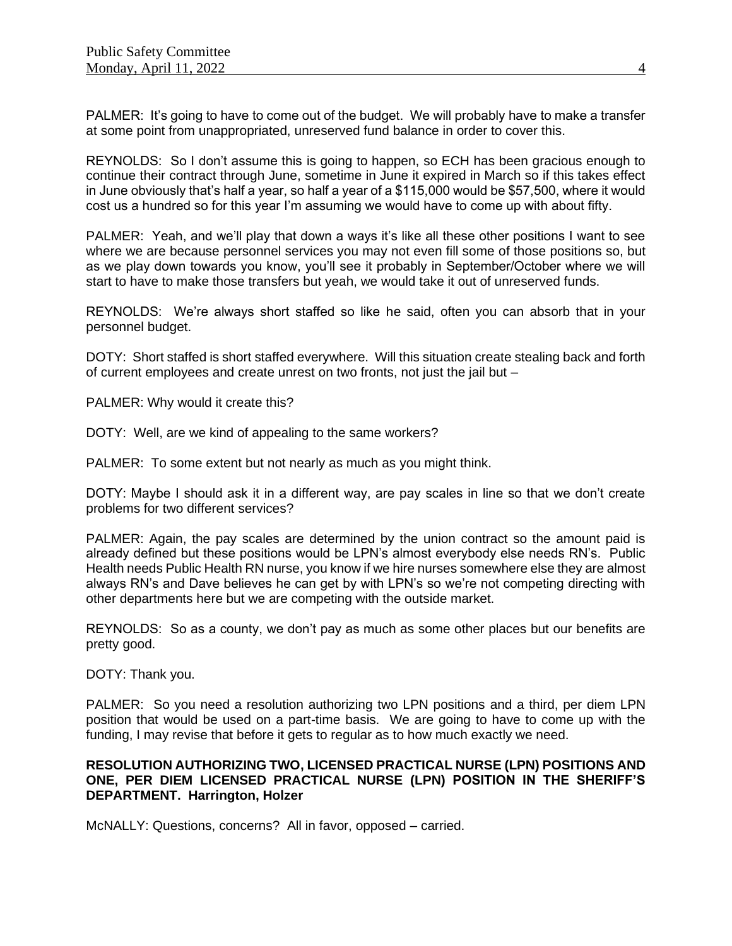PALMER: It's going to have to come out of the budget. We will probably have to make a transfer at some point from unappropriated, unreserved fund balance in order to cover this.

REYNOLDS: So I don't assume this is going to happen, so ECH has been gracious enough to continue their contract through June, sometime in June it expired in March so if this takes effect in June obviously that's half a year, so half a year of a \$115,000 would be \$57,500, where it would cost us a hundred so for this year I'm assuming we would have to come up with about fifty.

PALMER: Yeah, and we'll play that down a ways it's like all these other positions I want to see where we are because personnel services you may not even fill some of those positions so, but as we play down towards you know, you'll see it probably in September/October where we will start to have to make those transfers but yeah, we would take it out of unreserved funds.

REYNOLDS: We're always short staffed so like he said, often you can absorb that in your personnel budget.

DOTY: Short staffed is short staffed everywhere. Will this situation create stealing back and forth of current employees and create unrest on two fronts, not just the jail but –

PALMER: Why would it create this?

DOTY: Well, are we kind of appealing to the same workers?

PALMER: To some extent but not nearly as much as you might think.

DOTY: Maybe I should ask it in a different way, are pay scales in line so that we don't create problems for two different services?

PALMER: Again, the pay scales are determined by the union contract so the amount paid is already defined but these positions would be LPN's almost everybody else needs RN's. Public Health needs Public Health RN nurse, you know if we hire nurses somewhere else they are almost always RN's and Dave believes he can get by with LPN's so we're not competing directing with other departments here but we are competing with the outside market.

REYNOLDS: So as a county, we don't pay as much as some other places but our benefits are pretty good.

DOTY: Thank you.

PALMER: So you need a resolution authorizing two LPN positions and a third, per diem LPN position that would be used on a part-time basis. We are going to have to come up with the funding, I may revise that before it gets to regular as to how much exactly we need.

## **RESOLUTION AUTHORIZING TWO, LICENSED PRACTICAL NURSE (LPN) POSITIONS AND ONE, PER DIEM LICENSED PRACTICAL NURSE (LPN) POSITION IN THE SHERIFF'S DEPARTMENT. Harrington, Holzer**

McNALLY: Questions, concerns? All in favor, opposed – carried.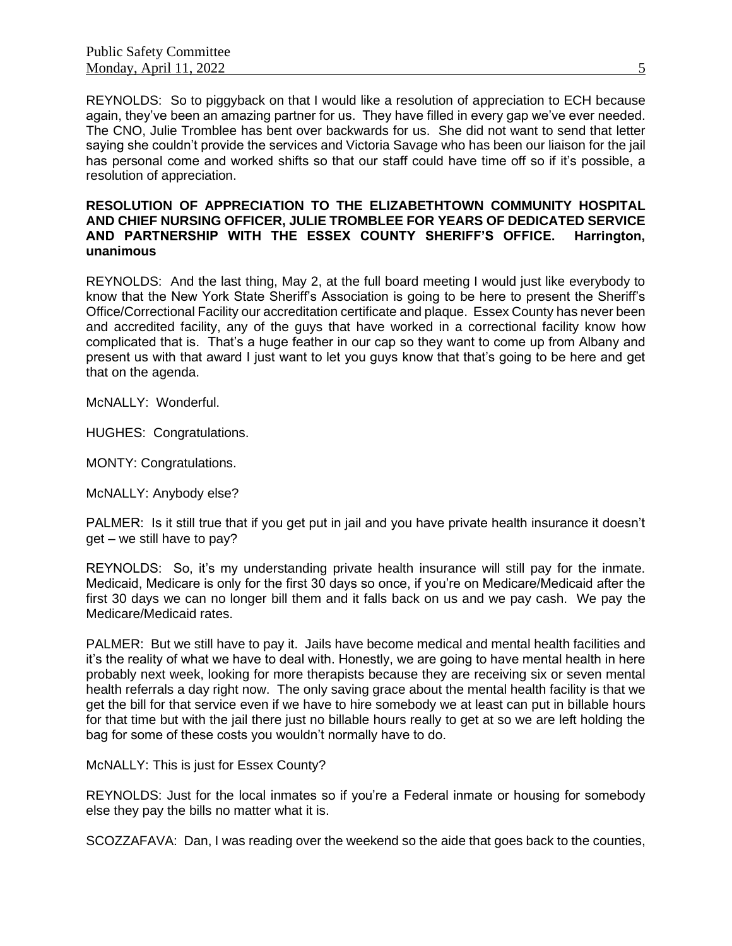REYNOLDS: So to piggyback on that I would like a resolution of appreciation to ECH because again, they've been an amazing partner for us. They have filled in every gap we've ever needed. The CNO, Julie Tromblee has bent over backwards for us. She did not want to send that letter saying she couldn't provide the services and Victoria Savage who has been our liaison for the jail has personal come and worked shifts so that our staff could have time off so if it's possible, a resolution of appreciation.

### **RESOLUTION OF APPRECIATION TO THE ELIZABETHTOWN COMMUNITY HOSPITAL AND CHIEF NURSING OFFICER, JULIE TROMBLEE FOR YEARS OF DEDICATED SERVICE AND PARTNERSHIP WITH THE ESSEX COUNTY SHERIFF'S OFFICE. Harrington, unanimous**

REYNOLDS: And the last thing, May 2, at the full board meeting I would just like everybody to know that the New York State Sheriff's Association is going to be here to present the Sheriff's Office/Correctional Facility our accreditation certificate and plaque. Essex County has never been and accredited facility, any of the guys that have worked in a correctional facility know how complicated that is. That's a huge feather in our cap so they want to come up from Albany and present us with that award I just want to let you guys know that that's going to be here and get that on the agenda.

McNALLY: Wonderful.

HUGHES: Congratulations.

MONTY: Congratulations.

McNALLY: Anybody else?

PALMER: Is it still true that if you get put in jail and you have private health insurance it doesn't get – we still have to pay?

REYNOLDS: So, it's my understanding private health insurance will still pay for the inmate. Medicaid, Medicare is only for the first 30 days so once, if you're on Medicare/Medicaid after the first 30 days we can no longer bill them and it falls back on us and we pay cash. We pay the Medicare/Medicaid rates.

PALMER: But we still have to pay it. Jails have become medical and mental health facilities and it's the reality of what we have to deal with. Honestly, we are going to have mental health in here probably next week, looking for more therapists because they are receiving six or seven mental health referrals a day right now. The only saving grace about the mental health facility is that we get the bill for that service even if we have to hire somebody we at least can put in billable hours for that time but with the jail there just no billable hours really to get at so we are left holding the bag for some of these costs you wouldn't normally have to do.

McNALLY: This is just for Essex County?

REYNOLDS: Just for the local inmates so if you're a Federal inmate or housing for somebody else they pay the bills no matter what it is.

SCOZZAFAVA: Dan, I was reading over the weekend so the aide that goes back to the counties,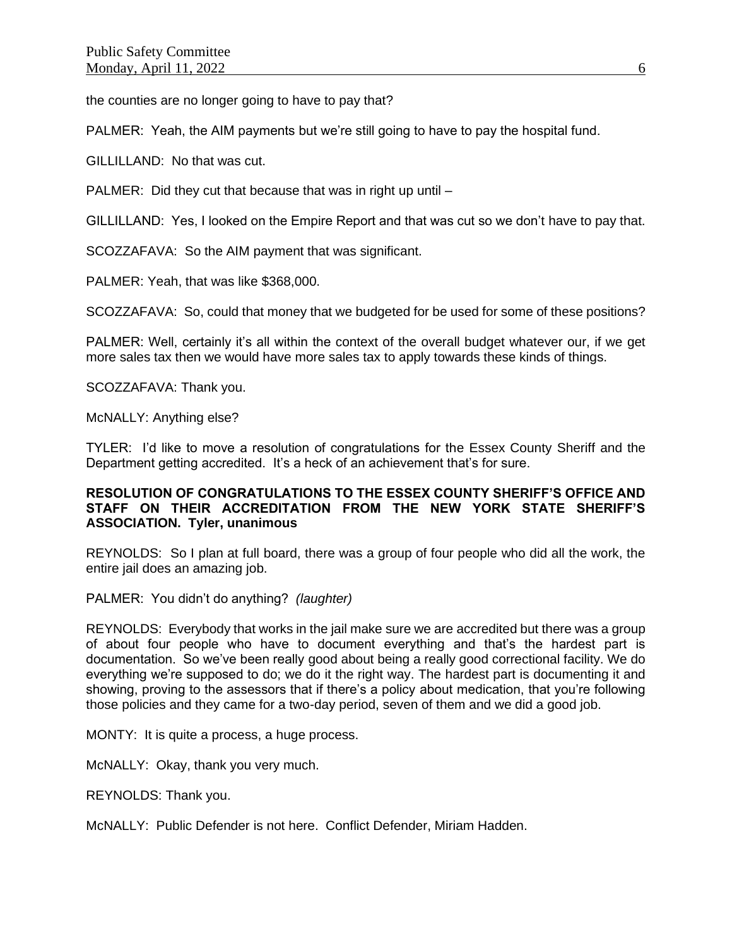the counties are no longer going to have to pay that?

PALMER: Yeah, the AIM payments but we're still going to have to pay the hospital fund.

GILLILLAND: No that was cut.

PALMER: Did they cut that because that was in right up until -

GILLILLAND: Yes, I looked on the Empire Report and that was cut so we don't have to pay that.

SCOZZAFAVA: So the AIM payment that was significant.

PALMER: Yeah, that was like \$368,000.

SCOZZAFAVA: So, could that money that we budgeted for be used for some of these positions?

PALMER: Well, certainly it's all within the context of the overall budget whatever our, if we get more sales tax then we would have more sales tax to apply towards these kinds of things.

SCOZZAFAVA: Thank you.

McNALLY: Anything else?

TYLER: I'd like to move a resolution of congratulations for the Essex County Sheriff and the Department getting accredited. It's a heck of an achievement that's for sure.

## **RESOLUTION OF CONGRATULATIONS TO THE ESSEX COUNTY SHERIFF'S OFFICE AND STAFF ON THEIR ACCREDITATION FROM THE NEW YORK STATE SHERIFF'S ASSOCIATION. Tyler, unanimous**

REYNOLDS: So I plan at full board, there was a group of four people who did all the work, the entire jail does an amazing job.

PALMER: You didn't do anything? *(laughter)*

REYNOLDS: Everybody that works in the jail make sure we are accredited but there was a group of about four people who have to document everything and that's the hardest part is documentation. So we've been really good about being a really good correctional facility. We do everything we're supposed to do; we do it the right way. The hardest part is documenting it and showing, proving to the assessors that if there's a policy about medication, that you're following those policies and they came for a two-day period, seven of them and we did a good job.

MONTY: It is quite a process, a huge process.

McNALLY: Okay, thank you very much.

REYNOLDS: Thank you.

McNALLY: Public Defender is not here. Conflict Defender, Miriam Hadden.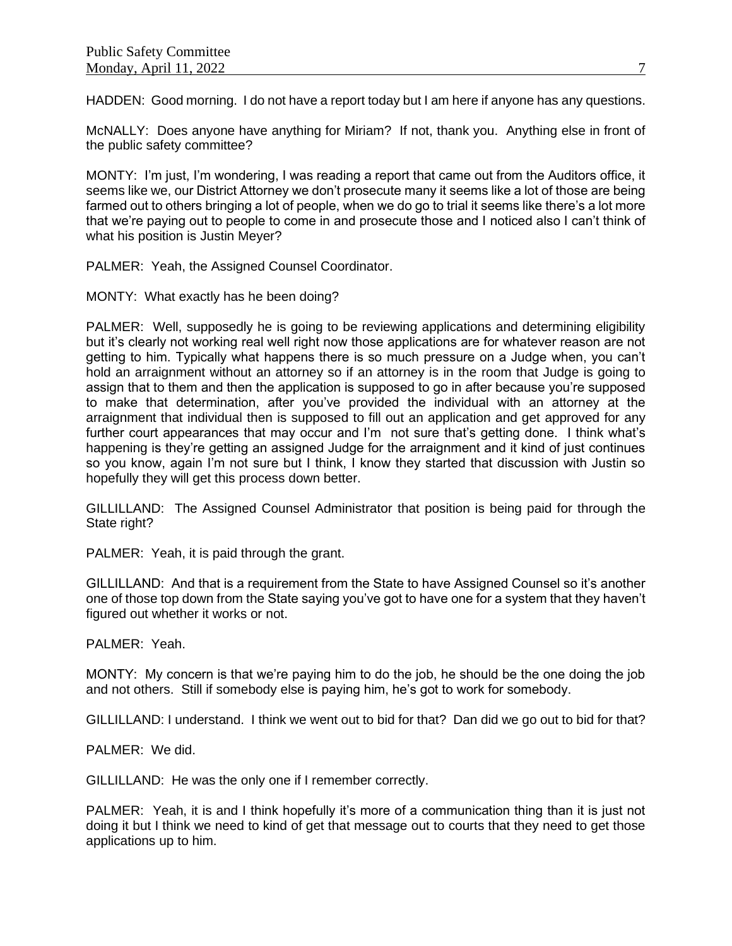HADDEN: Good morning. I do not have a report today but I am here if anyone has any questions.

McNALLY: Does anyone have anything for Miriam? If not, thank you. Anything else in front of the public safety committee?

MONTY: I'm just, I'm wondering, I was reading a report that came out from the Auditors office, it seems like we, our District Attorney we don't prosecute many it seems like a lot of those are being farmed out to others bringing a lot of people, when we do go to trial it seems like there's a lot more that we're paying out to people to come in and prosecute those and I noticed also I can't think of what his position is Justin Meyer?

PALMER: Yeah, the Assigned Counsel Coordinator.

MONTY: What exactly has he been doing?

PALMER: Well, supposedly he is going to be reviewing applications and determining eligibility but it's clearly not working real well right now those applications are for whatever reason are not getting to him. Typically what happens there is so much pressure on a Judge when, you can't hold an arraignment without an attorney so if an attorney is in the room that Judge is going to assign that to them and then the application is supposed to go in after because you're supposed to make that determination, after you've provided the individual with an attorney at the arraignment that individual then is supposed to fill out an application and get approved for any further court appearances that may occur and I'm not sure that's getting done. I think what's happening is they're getting an assigned Judge for the arraignment and it kind of just continues so you know, again I'm not sure but I think, I know they started that discussion with Justin so hopefully they will get this process down better.

GILLILLAND: The Assigned Counsel Administrator that position is being paid for through the State right?

PALMER: Yeah, it is paid through the grant.

GILLILLAND: And that is a requirement from the State to have Assigned Counsel so it's another one of those top down from the State saying you've got to have one for a system that they haven't figured out whether it works or not.

PALMER: Yeah.

MONTY: My concern is that we're paying him to do the job, he should be the one doing the job and not others. Still if somebody else is paying him, he's got to work for somebody.

GILLILLAND: I understand. I think we went out to bid for that? Dan did we go out to bid for that?

PALMER: We did.

GILLILLAND: He was the only one if I remember correctly.

PALMER: Yeah, it is and I think hopefully it's more of a communication thing than it is just not doing it but I think we need to kind of get that message out to courts that they need to get those applications up to him.